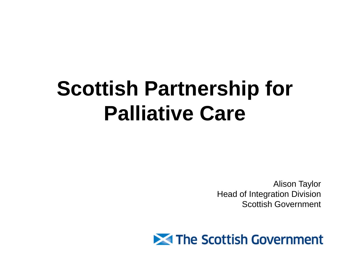# **Scottish Partnership for Palliative Care**

Alison Taylor Head of Integration Division Scottish Government

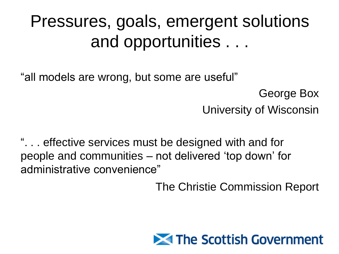## Pressures, goals, emergent solutions and opportunities . . .

"all models are wrong, but some are useful"

George Box University of Wisconsin

". . . effective services must be designed with and for people and communities – not delivered 'top down' for administrative convenience"

The Christie Commission Report

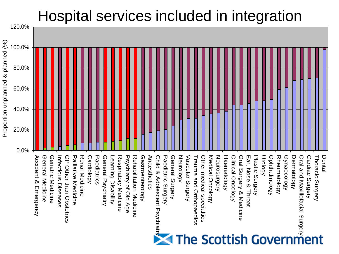### Hospital services included in integration

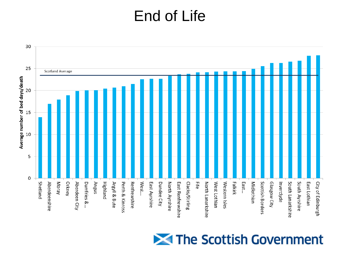### End of Life